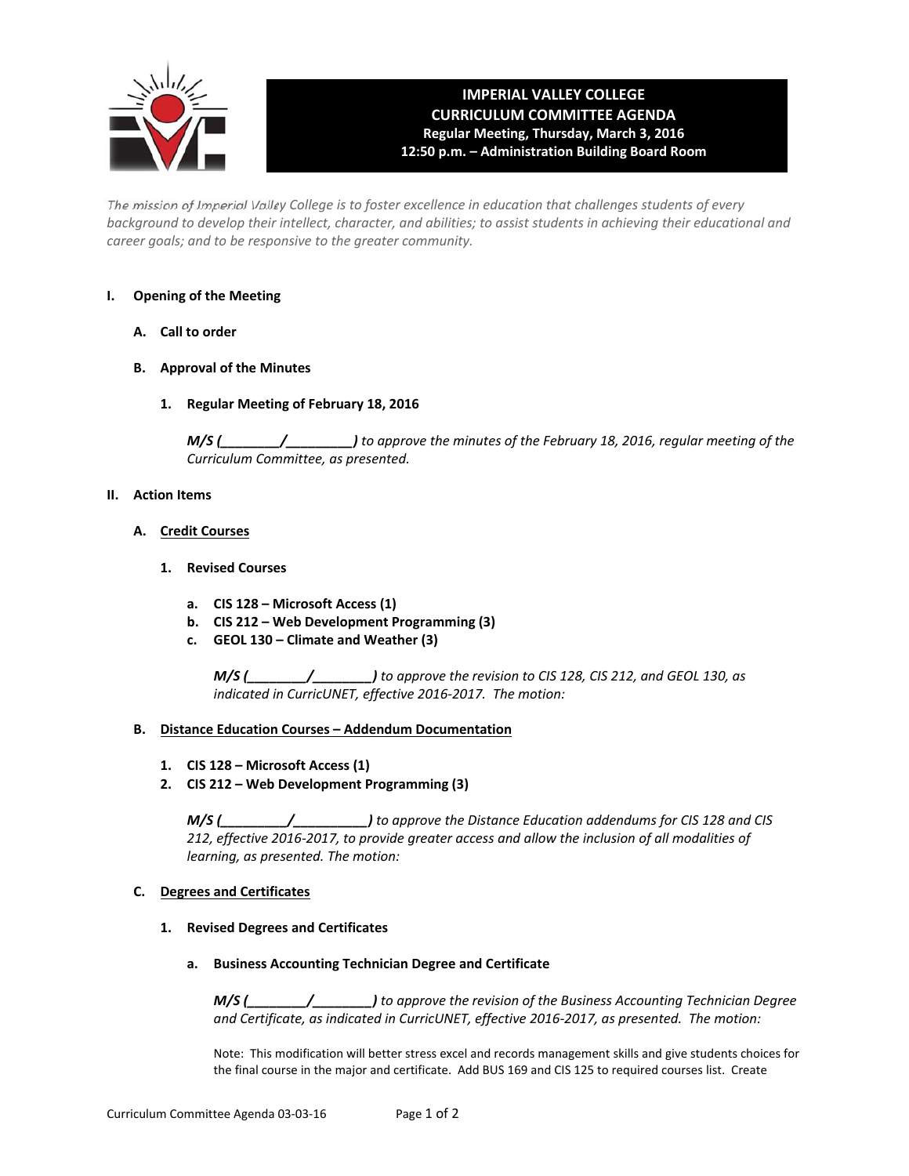

## **IMPERIAL VALLEY COLLEGE CURRICULUM COMMITTEE AGENDA Regular Meeting, Thursday, March 3, 2016 12:50 p.m. – Administration Building Board Room**

The mission of Imperial Valley College is to foster excellence in education that challenges students of every background to develop their intellect, character, and abilities; to assist students in achieving their educational and *career goals; and to be responsive to the greater community.*

## **I. Opening of the Meeting**

- **A. Call to order**
- **B. Approval of the Minutes**
	- **1. Regular Meeting of February 18, 2016**

*M/S (\_\_\_\_\_\_\_\_/\_\_\_\_\_\_\_\_\_) to approve the minutes of the February 18, 2016, regular meeting of the Curriculum Committee, as presented.* 

#### **II. Action Items**

- **A. Credit Courses**
	- **1. Revised Courses**
		- **a. CIS 128 – Microsoft Access (1)**
		- **b. CIS 212 – Web Development Programming (3)**
		- **c. GEOL 130 – Climate and Weather (3)**

*M/S (\_\_\_\_\_\_\_\_/\_\_\_\_\_\_\_\_) to approve the revision to CIS 128, CIS 212, and GEOL 130, as indicated in CurricUNET, effective 2016‐2017. The motion:*

#### **B. Distance Education Courses – Addendum Documentation**

- **1. CIS 128 – Microsoft Access (1)**
- **2. CIS 212 – Web Development Programming (3)**

*M/S (\_\_\_\_\_\_\_\_\_/\_\_\_\_\_\_\_\_\_\_) to approve the Distance Education addendums for CIS 128 and CIS 212, effective 2016‐2017, to provide greater access and allow the inclusion of all modalities of learning, as presented. The motion:*

#### **C. Degrees and Certificates**

- **1. Revised Degrees and Certificates**
	- **a. Business Accounting Technician Degree and Certificate**

*M/S (\_\_\_\_\_\_\_\_/\_\_\_\_\_\_\_\_) to approve the revision of the Business Accounting Technician Degree and Certificate, as indicated in CurricUNET, effective 2016‐2017, as presented. The motion:*

Note: This modification will better stress excel and records management skills and give students choices for the final course in the major and certificate. Add BUS 169 and CIS 125 to required courses list. Create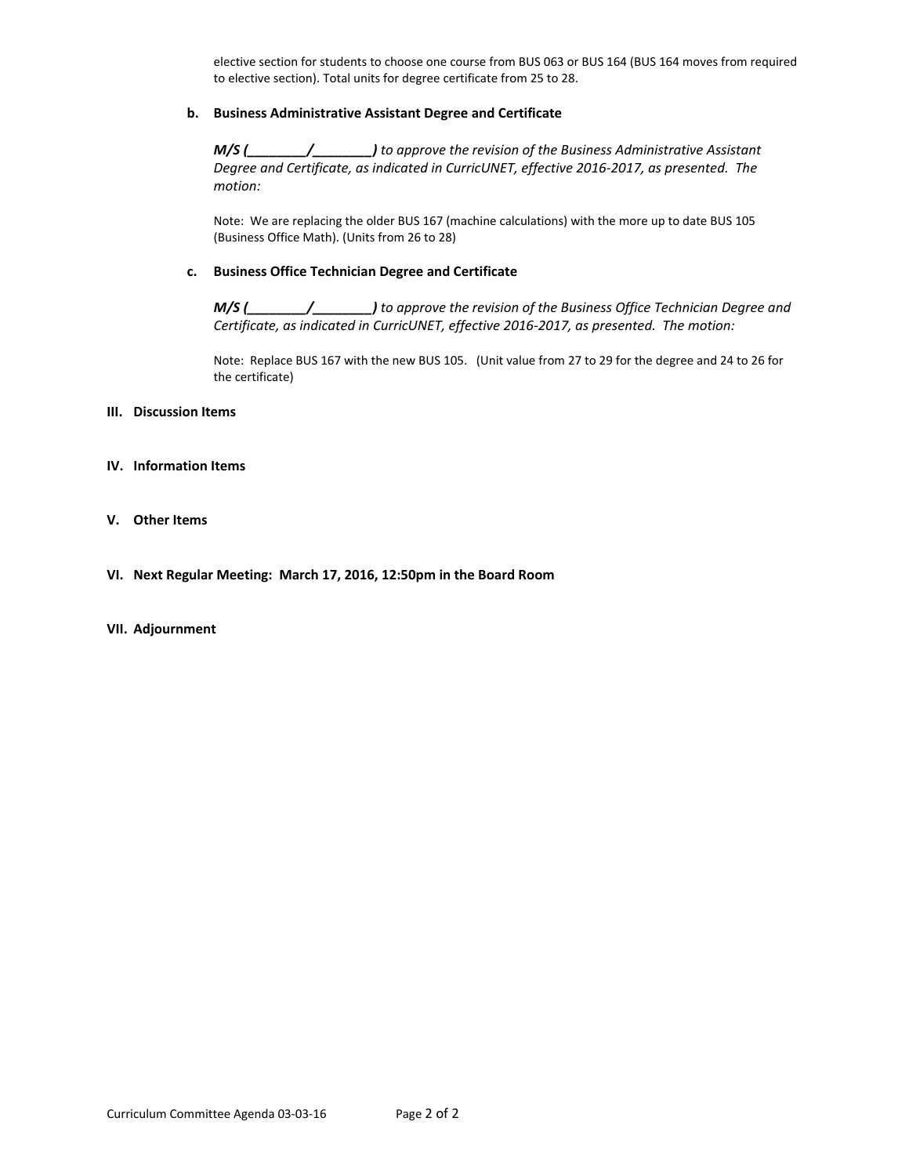elective section for students to choose one course from BUS 063 or BUS 164 (BUS 164 moves from required to elective section). Total units for degree certificate from 25 to 28.

#### **b. Business Administrative Assistant Degree and Certificate**

*M/S (\_\_\_\_\_\_\_\_/\_\_\_\_\_\_\_\_) to approve the revision of the Business Administrative Assistant Degree and Certificate, as indicated in CurricUNET, effective 2016‐2017, as presented. The motion:*

Note: We are replacing the older BUS 167 (machine calculations) with the more up to date BUS 105 (Business Office Math). (Units from 26 to 28)

#### **c. Business Office Technician Degree and Certificate**

*M/S (\_\_\_\_\_\_\_\_/\_\_\_\_\_\_\_\_) to approve the revision of the Business Office Technician Degree and Certificate, as indicated in CurricUNET, effective 2016‐2017, as presented. The motion:*

 Note: Replace BUS 167 with the new BUS 105. (Unit value from 27 to 29 for the degree and 24 to 26 for the certificate)

#### **III. Discussion Items**

- **IV. Information Items**
- **V. Other Items**
- **VI. Next Regular Meeting: March 17, 2016, 12:50pm in the Board Room**

#### **VII. Adjournment**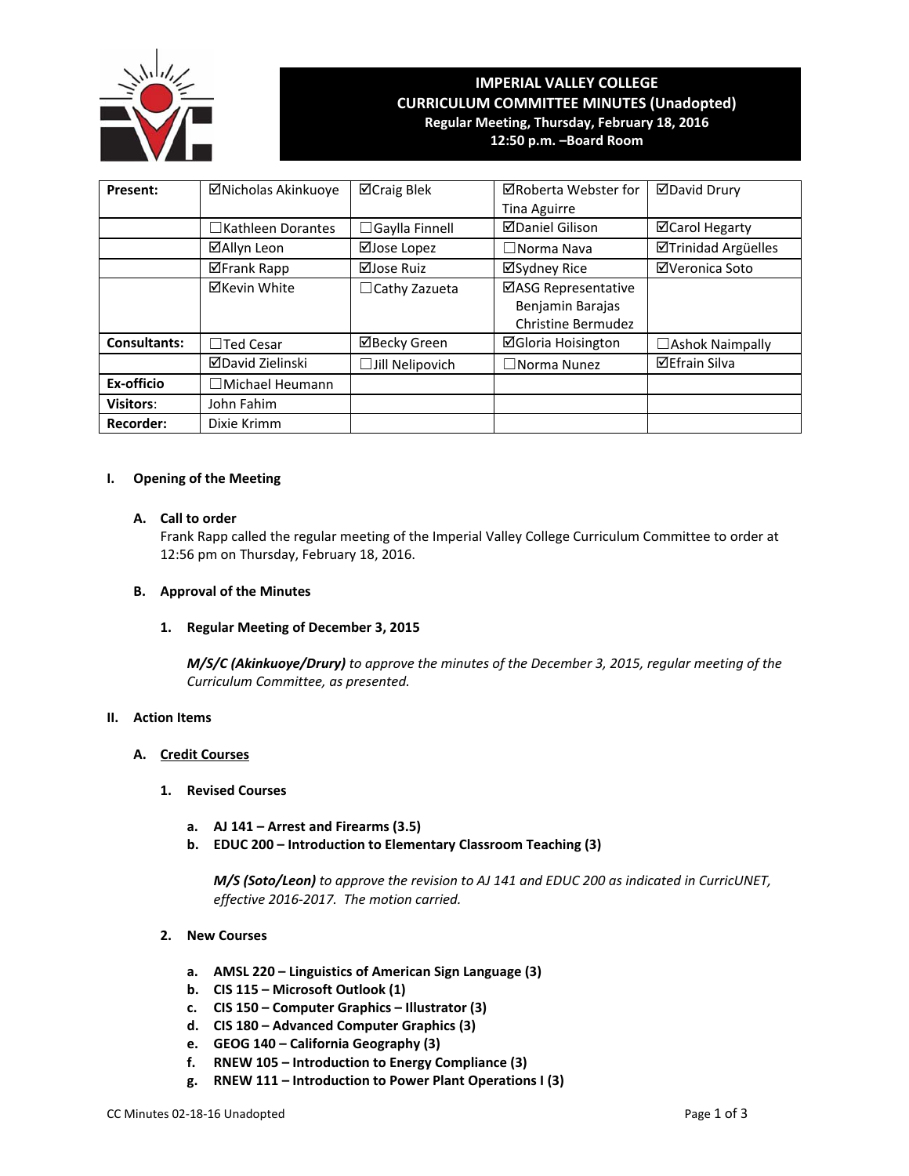

# **IMPERIAL VALLEY COLLEGE CURRICULUM COMMITTEE MINUTES (Unadopted) Regular Meeting, Thursday, February 18, 2016**

**12:50 p.m. –Board Room**

| Present:            | ⊠Nicholas Akinkuoye      | ⊠Craig Blek            | ⊠Roberta Webster for      | <b>ØDavid Drury</b>        |
|---------------------|--------------------------|------------------------|---------------------------|----------------------------|
|                     |                          |                        | <b>Tina Aguirre</b>       |                            |
|                     | $\Box$ Kathleen Dorantes | □Gaylla Finnell        | <b>⊠Daniel Gilison</b>    | <b>⊠Carol Hegarty</b>      |
|                     | ⊠Allyn Leon              | ⊠Jose Lopez            | $\Box$ Norma Nava         | <b>ØTrinidad Argüelles</b> |
|                     | <b>⊠Frank Rapp</b>       | ⊠Jose Ruiz             | ⊠Sydney Rice              | ⊠Veronica Soto             |
|                     | <b>⊠Kevin White</b>      | $\Box$ Cathy Zazueta   | ⊠ASG Representative       |                            |
|                     |                          |                        | Benjamin Barajas          |                            |
|                     |                          |                        | Christine Bermudez        |                            |
| <b>Consultants:</b> | $\Box$ Ted Cesar         | ⊠Becky Green           | <b>⊠Gloria Hoisington</b> | $\Box$ Ashok Naimpally     |
|                     | <b>ØDavid Zielinski</b>  | $\Box$ Jill Nelipovich | $\Box$ Norma Nunez        | <b>⊠Efrain Silva</b>       |
| Ex-officio          | Michael Heumann          |                        |                           |                            |
| Visitors:           | John Fahim               |                        |                           |                            |
| <b>Recorder:</b>    | Dixie Krimm              |                        |                           |                            |

## **I. Opening of the Meeting**

## **A. Call to order**

Frank Rapp called the regular meeting of the Imperial Valley College Curriculum Committee to order at 12:56 pm on Thursday, February 18, 2016.

#### **B. Approval of the Minutes**

#### **1. Regular Meeting of December 3, 2015**

*M/S/C (Akinkuoye/Drury) to approve the minutes of the December 3, 2015, regular meeting of the Curriculum Committee, as presented.* 

## **II. Action Items**

#### **A. Credit Courses**

- **1. Revised Courses**
	- **a. AJ 141 – Arrest and Firearms (3.5)**
	- **b. EDUC 200 – Introduction to Elementary Classroom Teaching (3)**

*M/S (Soto/Leon) to approve the revision to AJ 141 and EDUC 200 as indicated in CurricUNET, effective 2016‐2017. The motion carried.*

- **2. New Courses**
	- **a. AMSL 220 – Linguistics of American Sign Language (3)**
	- **b. CIS 115 – Microsoft Outlook (1)**
	- **c. CIS 150 – Computer Graphics – Illustrator (3)**
	- **d. CIS 180 – Advanced Computer Graphics (3)**
	- **e. GEOG 140 – California Geography (3)**
	- **f. RNEW 105 – Introduction to Energy Compliance (3)**
	- **g. RNEW 111 – Introduction to Power Plant Operations I (3)**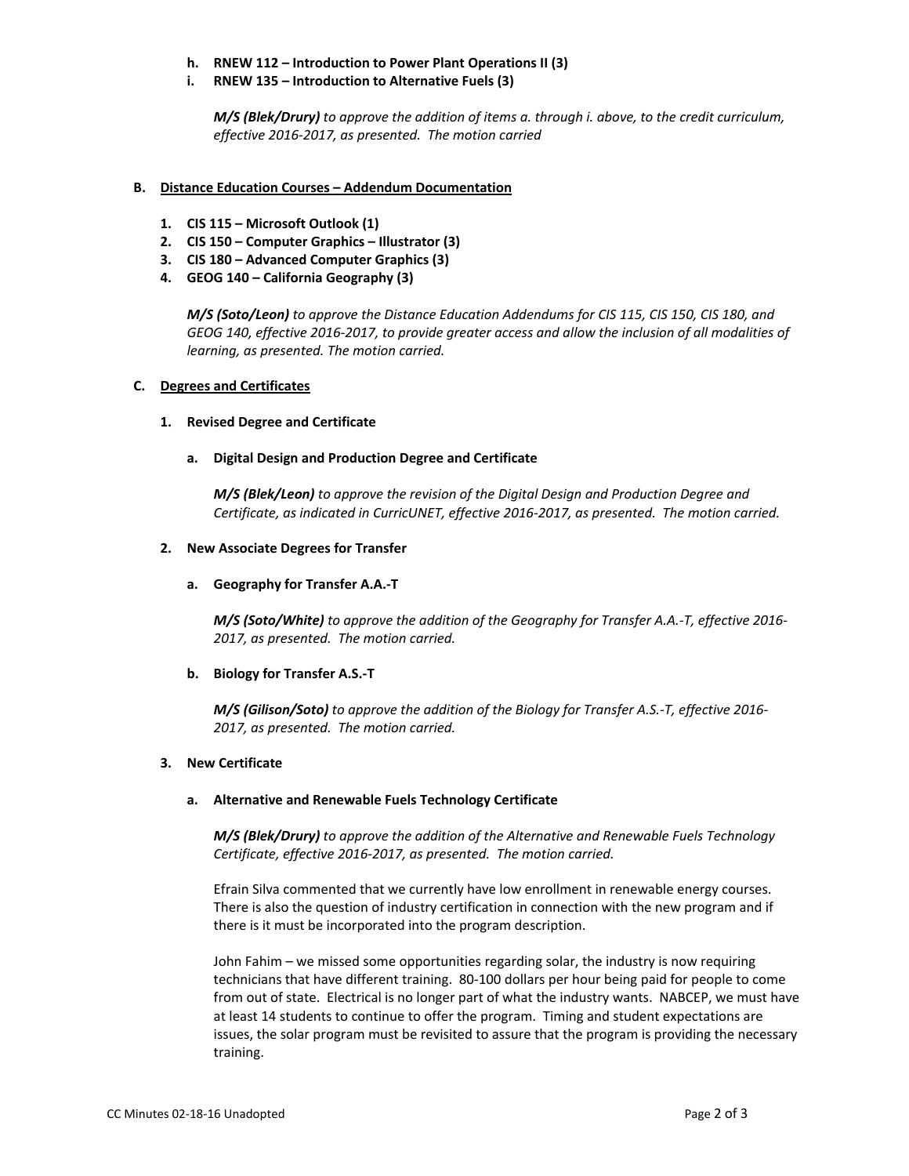- **h. RNEW 112 – Introduction to Power Plant Operations II (3)**
- **i. RNEW 135 – Introduction to Alternative Fuels (3)**

*M/S (Blek/Drury) to approve the addition of items a. through i. above, to the credit curriculum, effective 2016‐2017, as presented. The motion carried*

## **B. Distance Education Courses – Addendum Documentation**

- **1. CIS 115 – Microsoft Outlook (1)**
- **2. CIS 150 – Computer Graphics – Illustrator (3)**
- **3. CIS 180 – Advanced Computer Graphics (3)**
- **4. GEOG 140 – California Geography (3)**

*M/S (Soto/Leon) to approve the Distance Education Addendums for CIS 115, CIS 150, CIS 180, and* GEOG 140, effective 2016-2017, to provide greater access and allow the inclusion of all modalities of *learning, as presented. The motion carried.*

## **C. Degrees and Certificates**

## **1. Revised Degree and Certificate**

**a. Digital Design and Production Degree and Certificate**

*M/S (Blek/Leon) to approve the revision of the Digital Design and Production Degree and Certificate, as indicated in CurricUNET, effective 2016‐2017, as presented. The motion carried.*

## **2. New Associate Degrees for Transfer**

## **a. Geography for Transfer A.A.‐T**

*M/S (Soto/White) to approve the addition of the Geography for Transfer A.A.‐T, effective 2016‐ 2017, as presented. The motion carried.*

## **b. Biology for Transfer A.S.‐T**

*M/S (Gilison/Soto) to approve the addition of the Biology for Transfer A.S.‐T, effective 2016‐ 2017, as presented. The motion carried.*

#### **3. New Certificate**

#### **a. Alternative and Renewable Fuels Technology Certificate**

*M/S (Blek/Drury) to approve the addition of the Alternative and Renewable Fuels Technology Certificate, effective 2016‐2017, as presented. The motion carried.*

Efrain Silva commented that we currently have low enrollment in renewable energy courses. There is also the question of industry certification in connection with the new program and if there is it must be incorporated into the program description.

John Fahim – we missed some opportunities regarding solar, the industry is now requiring technicians that have different training. 80‐100 dollars per hour being paid for people to come from out of state. Electrical is no longer part of what the industry wants. NABCEP, we must have at least 14 students to continue to offer the program. Timing and student expectations are issues, the solar program must be revisited to assure that the program is providing the necessary training.